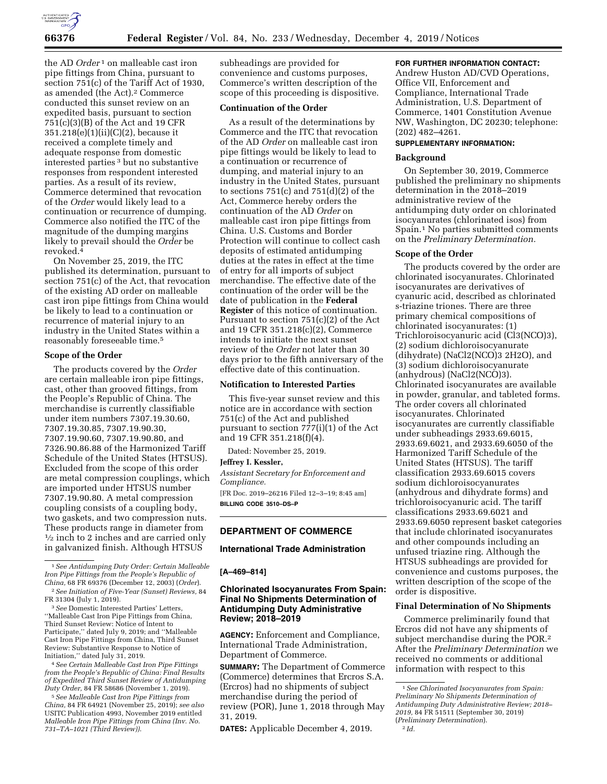

the AD *Order*<sup>1</sup> on malleable cast iron pipe fittings from China, pursuant to section 751(c) of the Tariff Act of 1930, as amended (the Act).<sup>2</sup> Commerce conducted this sunset review on an expedited basis, pursuant to section 751(c)(3)(B) of the Act and 19 CFR 351.218(e)(1)(ii)(C)(2), because it received a complete timely and adequate response from domestic interested parties 3 but no substantive responses from respondent interested parties. As a result of its review, Commerce determined that revocation of the *Order* would likely lead to a continuation or recurrence of dumping. Commerce also notified the ITC of the magnitude of the dumping margins likely to prevail should the *Order* be revoked.4

On November 25, 2019, the ITC published its determination, pursuant to section 751(c) of the Act, that revocation of the existing AD order on malleable cast iron pipe fittings from China would be likely to lead to a continuation or recurrence of material injury to an industry in the United States within a reasonably foreseeable time.5

#### **Scope of the Order**

The products covered by the *Order*  are certain malleable iron pipe fittings, cast, other than grooved fittings, from the People's Republic of China. The merchandise is currently classifiable under item numbers 7307.19.30.60, 7307.19.30.85, 7307.19.90.30, 7307.19.90.60, 7307.19.90.80, and 7326.90.86.88 of the Harmonized Tariff Schedule of the United States (HTSUS). Excluded from the scope of this order are metal compression couplings, which are imported under HTSUS number 7307.19.90.80. A metal compression coupling consists of a coupling body, two gaskets, and two compression nuts. These products range in diameter from  $\frac{1}{2}$  inch to 2 inches and are carried only in galvanized finish. Although HTSUS

2*See Initiation of Five-Year (Sunset) Reviews,* 84 FR 31304 (July 1, 2019).

3*See* Domestic Interested Parties' Letters, ''Malleable Cast Iron Pipe Fittings from China, Third Sunset Review: Notice of Intent to Participate,'' dated July 9, 2019; and ''Malleable Cast Iron Pipe Fittings from China, Third Sunset Review: Substantive Response to Notice of Initiation,'' dated July 31, 2019.

4*See Certain Malleable Cast Iron Pipe Fittings from the People's Republic of China: Final Results of Expedited Third Sunset Review of Antidumping Duty Order,* 84 FR 58686 (November 1, 2019).

5*See Malleable Cast Iron Pipe Fittings from China,* 84 FR 64921 (November 25, 2019); *see also*  USITC Publication 4993, November 2019 entitled *Malleable Iron Pipe Fittings from China (Inv. No. 731–TA–1021 (Third Review))*.

subheadings are provided for convenience and customs purposes, Commerce's written description of the scope of this proceeding is dispositive.

# **Continuation of the Order**

As a result of the determinations by Commerce and the ITC that revocation of the AD *Order* on malleable cast iron pipe fittings would be likely to lead to a continuation or recurrence of dumping, and material injury to an industry in the United States, pursuant to sections  $751(c)$  and  $751(d)(2)$  of the Act, Commerce hereby orders the continuation of the AD *Order* on malleable cast iron pipe fittings from China. U.S. Customs and Border Protection will continue to collect cash deposits of estimated antidumping duties at the rates in effect at the time of entry for all imports of subject merchandise. The effective date of the continuation of the order will be the date of publication in the **Federal Register** of this notice of continuation. Pursuant to section 751(c)(2) of the Act and 19 CFR 351.218(c)(2), Commerce intends to initiate the next sunset review of the *Order* not later than 30 days prior to the fifth anniversary of the effective date of this continuation.

# **Notification to Interested Parties**

This five-year sunset review and this notice are in accordance with section 751(c) of the Act and published pursuant to section 777(i)(1) of the Act and 19 CFR 351.218(f)(4).

Dated: November 25, 2019.

#### **Jeffrey I. Kessler,**

*Assistant Secretary for Enforcement and Compliance.*  [FR Doc. 2019–26216 Filed 12–3–19; 8:45 am]

**BILLING CODE 3510–DS–P** 

# **DEPARTMENT OF COMMERCE**

# **International Trade Administration**

# **[A–469–814]**

# **Chlorinated Isocyanurates From Spain: Final No Shipments Determination of Antidumping Duty Administrative Review; 2018–2019**

**AGENCY:** Enforcement and Compliance, International Trade Administration, Department of Commerce.

**SUMMARY:** The Department of Commerce (Commerce) determines that Ercros S.A. (Ercros) had no shipments of subject merchandise during the period of review (POR), June 1, 2018 through May 31, 2019.

**DATES:** Applicable December 4, 2019.

## **FOR FURTHER INFORMATION CONTACT:**

Andrew Huston AD/CVD Operations, Office VII, Enforcement and Compliance, International Trade Administration, U.S. Department of Commerce, 1401 Constitution Avenue NW, Washington, DC 20230; telephone: (202) 482–4261.

# **SUPPLEMENTARY INFORMATION:**

### **Background**

On September 30, 2019, Commerce published the preliminary no shipments determination in the 2018–2019 administrative review of the antidumping duty order on chlorinated isocyanurates (chlorinated isos) from Spain.1 No parties submitted comments on the *Preliminary Determination.* 

#### **Scope of the Order**

The products covered by the order are chlorinated isocyanurates. Chlorinated isocyanurates are derivatives of cyanuric acid, described as chlorinated s-triazine triones. There are three primary chemical compositions of chlorinated isocyanurates: (1) Trichloroisocyanuric acid (Cl3(NCO)3), (2) sodium dichloroisocyanurate (dihydrate) (NaCl2(NCO)3 2H2O), and (3) sodium dichloroisocyanurate (anhydrous) (NaCl2(NCO)3). Chlorinated isocyanurates are available in powder, granular, and tableted forms. The order covers all chlorinated isocyanurates. Chlorinated isocyanurates are currently classifiable under subheadings 2933.69.6015, 2933.69.6021, and 2933.69.6050 of the Harmonized Tariff Schedule of the United States (HTSUS). The tariff classification 2933.69.6015 covers sodium dichloroisocyanurates (anhydrous and dihydrate forms) and trichloroisocyanuric acid. The tariff classifications 2933.69.6021 and 2933.69.6050 represent basket categories that include chlorinated isocyanurates and other compounds including an unfused triazine ring. Although the HTSUS subheadings are provided for convenience and customs purposes, the written description of the scope of the order is dispositive.

### **Final Determination of No Shipments**

Commerce preliminarily found that Ercros did not have any shipments of subject merchandise during the POR.2 After the *Preliminary Determination* we received no comments or additional information with respect to this

<sup>1</sup>*See Antidumping Duty Order: Certain Malleable Iron Pipe Fittings from the People's Republic of China,* 68 FR 69376 (December 12, 2003) (*Order*).

<sup>1</sup>*See Chlorinated Isocyanurates from Spain: Preliminary No Shipments Determination of Antidumping Duty Administrative Review; 2018– 2019,* 84 FR 51511 (September 30, 2019) (*Preliminary Determination*). 2 *Id.*